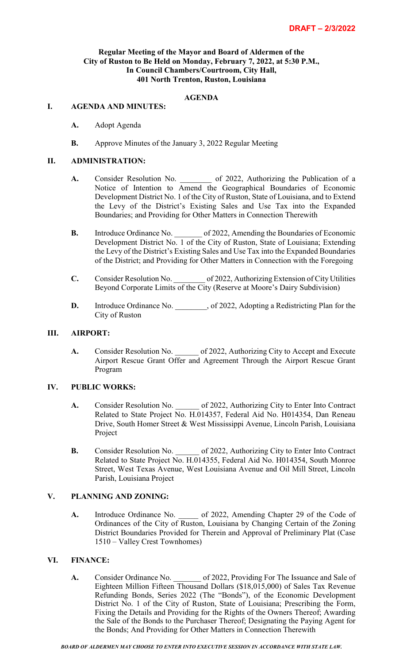# **Regular Meeting of the Mayor and Board of Aldermen of the City of Ruston to Be Held on Monday, February 7, 2022, at 5:30 P.M., In Council Chambers/Courtroom, City Hall, 401 North Trenton, Ruston, Louisiana**

# **AGENDA**

#### **I. AGENDA AND MINUTES:**

- **A.** Adopt Agenda
- **B.** Approve Minutes of the January 3, 2022 Regular Meeting

#### **II. ADMINISTRATION:**

- A. Consider Resolution No. 6 of 2022, Authorizing the Publication of a Notice of Intention to Amend the Geographical Boundaries of Economic Development District No. 1 of the City of Ruston, State of Louisiana, and to Extend the Levy of the District's Existing Sales and Use Tax into the Expanded Boundaries; and Providing for Other Matters in Connection Therewith
- **B.** Introduce Ordinance No.  $\qquad$  of 2022, Amending the Boundaries of Economic Development District No. 1 of the City of Ruston, State of Louisiana; Extending the Levy of the District's Existing Sales and Use Tax into the Expanded Boundaries of the District; and Providing for Other Matters in Connection with the Foregoing
- **C.** Consider Resolution No.  $\qquad \qquad$  of 2022, Authorizing Extension of City Utilities Beyond Corporate Limits of the City (Reserve at Moore's Dairy Subdivision)
- **D.** Introduce Ordinance No.  $\qquad$ , of 2022, Adopting a Redistricting Plan for the City of Ruston

# **III. AIRPORT:**

A. Consider Resolution No.  $\qquad \qquad$  of 2022, Authorizing City to Accept and Execute Airport Rescue Grant Offer and Agreement Through the Airport Rescue Grant Program

## **IV. PUBLIC WORKS:**

- A. Consider Resolution No.  $\qquad \qquad$  of 2022, Authorizing City to Enter Into Contract Related to State Project No. H.014357, Federal Aid No. H014354, Dan Reneau Drive, South Homer Street & West Mississippi Avenue, Lincoln Parish, Louisiana Project
- **B.** Consider Resolution No. \_\_\_\_\_\_ of 2022, Authorizing City to Enter Into Contract Related to State Project No. H.014355, Federal Aid No. H014354, South Monroe Street, West Texas Avenue, West Louisiana Avenue and Oil Mill Street, Lincoln Parish, Louisiana Project

# **V. PLANNING AND ZONING:**

A. Introduce Ordinance No. 6. 0. 0. 0. 0. Amending Chapter 29 of the Code of Ordinances of the City of Ruston, Louisiana by Changing Certain of the Zoning District Boundaries Provided for Therein and Approval of Preliminary Plat (Case 1510 – Valley Crest Townhomes)

#### **VI. FINANCE:**

**A.** Consider Ordinance No. \_\_\_\_\_\_\_ of 2022, Providing For The Issuance and Sale of Eighteen Million Fifteen Thousand Dollars (\$18,015,000) of Sales Tax Revenue Refunding Bonds, Series 2022 (The "Bonds"), of the Economic Development District No. 1 of the City of Ruston, State of Louisiana; Prescribing the Form, Fixing the Details and Providing for the Rights of the Owners Thereof; Awarding the Sale of the Bonds to the Purchaser Thereof; Designating the Paying Agent for the Bonds; And Providing for Other Matters in Connection Therewith